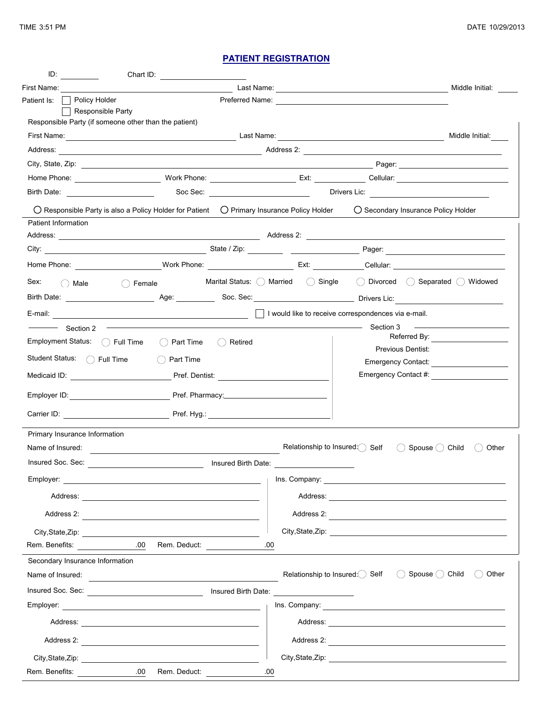## **PATIENT REGISTRATION**

| $ID:$ and $ID:$               | Chart ID:                                                                                                                                                                                                                            |                                             |            |                     |                                               |                                                     |                                         |
|-------------------------------|--------------------------------------------------------------------------------------------------------------------------------------------------------------------------------------------------------------------------------------|---------------------------------------------|------------|---------------------|-----------------------------------------------|-----------------------------------------------------|-----------------------------------------|
| First Name:                   |                                                                                                                                                                                                                                      |                                             |            | Last Name:          |                                               |                                                     | Middle Initial:                         |
| Patient Is:                   | Policy Holder                                                                                                                                                                                                                        |                                             |            |                     |                                               | Preferred Name: <b>Example 2018</b>                 |                                         |
|                               | Responsible Party<br>Responsible Party (if someone other than the patient)                                                                                                                                                           |                                             |            |                     |                                               |                                                     |                                         |
|                               | First Name: <u>All and the second contract of the second contract of the second contract of the second contract of the second contract of the second contract of the second contract of the second contract of the second contra</u> |                                             |            |                     |                                               |                                                     | Middle Initial:                         |
|                               |                                                                                                                                                                                                                                      |                                             |            |                     |                                               |                                                     |                                         |
|                               |                                                                                                                                                                                                                                      |                                             |            |                     |                                               |                                                     |                                         |
|                               |                                                                                                                                                                                                                                      |                                             |            |                     |                                               |                                                     |                                         |
|                               |                                                                                                                                                                                                                                      |                                             |            |                     |                                               |                                                     |                                         |
| Patient Information           | $\bigcirc$ Responsible Party is also a Policy Holder for Patient $\bigcirc$ Primary Insurance Policy Holder                                                                                                                          |                                             |            |                     |                                               |                                                     | ◯ Secondary Insurance Policy Holder     |
|                               |                                                                                                                                                                                                                                      |                                             |            |                     |                                               |                                                     |                                         |
|                               |                                                                                                                                                                                                                                      |                                             |            |                     |                                               |                                                     |                                         |
|                               |                                                                                                                                                                                                                                      |                                             |            |                     |                                               |                                                     |                                         |
| Sex:<br>$\bigcirc$ Male       |                                                                                                                                                                                                                                      | ◯ Female Marital Status: ◯ Married ◯ Single |            |                     |                                               |                                                     | () Divorced () Separated () Widowed     |
|                               | Birth Date: <u>Consumers Constantine Constantine Age:</u> Constantine Soc. Sec: Constantine Constantine Constantine Divers Lic:                                                                                                      |                                             |            |                     |                                               |                                                     |                                         |
| E-mail:                       |                                                                                                                                                                                                                                      |                                             |            |                     |                                               | I would like to receive correspondences via e-mail. |                                         |
| Section 2                     |                                                                                                                                                                                                                                      |                                             |            |                     |                                               | Section 3                                           | Referred By: <u>_________________</u>   |
|                               | Employment Status:   ( Full Time                                                                                                                                                                                                     | Part Time<br>(                              | () Retired |                     |                                               |                                                     | Previous Dentist:                       |
|                               | Student Status: ( Full Time                                                                                                                                                                                                          | Part Time                                   |            |                     |                                               |                                                     | Emergency Contact: <u>_____________</u> |
| Medicaid ID:                  |                                                                                                                                                                                                                                      | Pref. Dentist:                              |            |                     |                                               |                                                     | Emergency Contact #:                    |
|                               |                                                                                                                                                                                                                                      |                                             |            |                     |                                               |                                                     |                                         |
|                               | Carrier ID: The Carrier School of the Pref. Hyg.: The Carrier ID: The Carrier School of the Carrier ID:                                                                                                                              |                                             |            |                     |                                               |                                                     |                                         |
| Primary Insurance Information |                                                                                                                                                                                                                                      |                                             |            |                     |                                               |                                                     |                                         |
| Name of Insured:              |                                                                                                                                                                                                                                      |                                             |            |                     | Relationship to Insured: Self                 | $($ )                                               | Other<br>Spouse () Child                |
| Insured Soc. Sec:             |                                                                                                                                                                                                                                      |                                             |            | Insured Birth Date: |                                               |                                                     |                                         |
|                               |                                                                                                                                                                                                                                      |                                             |            |                     |                                               |                                                     |                                         |
|                               |                                                                                                                                                                                                                                      |                                             |            |                     |                                               |                                                     |                                         |
|                               | Address 2:                                                                                                                                                                                                                           |                                             |            |                     |                                               |                                                     | Address 2:                              |
|                               |                                                                                                                                                                                                                                      |                                             |            |                     |                                               |                                                     |                                         |
|                               | Rem. Benefits: 00 Rem. Deduct:                                                                                                                                                                                                       |                                             |            | .00                 |                                               |                                                     |                                         |
|                               | Secondary Insurance Information                                                                                                                                                                                                      |                                             |            |                     |                                               |                                                     |                                         |
|                               | Name of Insured:                                                                                                                                                                                                                     |                                             |            |                     | Relationship to Insured: Self                 |                                                     | ◯ Spouse ◯ Child<br>() Other            |
|                               | Insured Soc. Sec:                                                                                                                                                                                                                    |                                             |            |                     | Insured Birth Date: _________________________ |                                                     |                                         |
|                               |                                                                                                                                                                                                                                      |                                             |            |                     |                                               |                                                     |                                         |
|                               |                                                                                                                                                                                                                                      |                                             |            |                     |                                               |                                                     |                                         |
|                               | Address 2:                                                                                                                                                                                                                           |                                             |            |                     |                                               |                                                     | Address 2:                              |
|                               |                                                                                                                                                                                                                                      |                                             |            |                     |                                               |                                                     |                                         |
| Rem. Benefits:                | City, State, Zip: 2001                                                                                                                                                                                                               | .00 Rem. Deduct:                            |            | .00                 |                                               |                                                     |                                         |
|                               |                                                                                                                                                                                                                                      |                                             |            |                     |                                               |                                                     |                                         |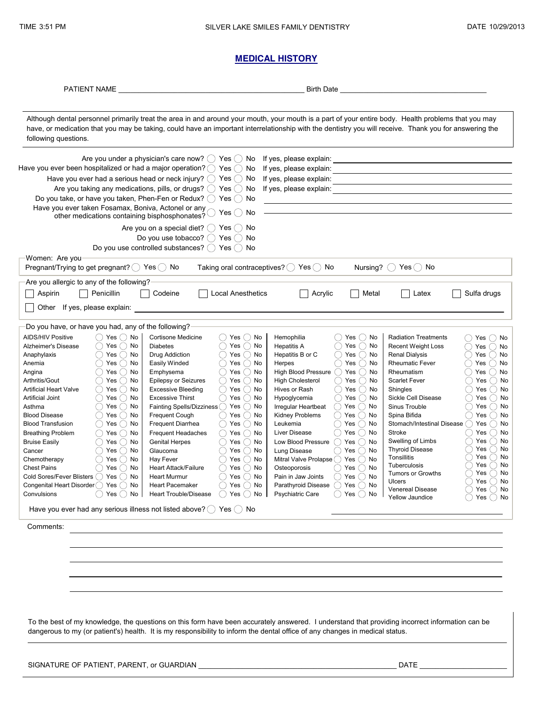#### **MEDICAL HISTORY**

PATIENT NAME \_\_\_\_\_\_\_\_\_\_\_\_\_\_\_\_\_\_\_\_\_\_\_\_\_\_\_\_\_\_\_\_\_\_\_\_\_\_\_\_\_\_\_\_\_\_\_ Birth Date \_\_\_\_\_\_\_\_\_\_\_\_\_\_\_\_\_\_\_\_\_\_\_\_\_\_\_\_\_\_\_\_\_\_\_\_\_

Although dental personnel primarily treat the area in and around your mouth, your mouth is a part of your entire body. Health problems that you may following questions. have, or medication that you may be taking, could have an important interrelationship with the dentistry you will receive. Thank you for answering the

|                                                                                                          | Are you under a physician's care now? $($ $)$ Yes $($ $)$ No                      | If yes, please explain:                                                                     | <u> 1980 - Johann Barbara, martxa al</u>                                                    |  |  |  |  |
|----------------------------------------------------------------------------------------------------------|-----------------------------------------------------------------------------------|---------------------------------------------------------------------------------------------|---------------------------------------------------------------------------------------------|--|--|--|--|
| Have you ever been hospitalized or had a major operation? $\bigcirc$ Yes $\bigcirc$ No                   |                                                                                   | If yes, please explain:                                                                     |                                                                                             |  |  |  |  |
| Have you ever had a serious head or neck injury? $\bigcirc$ Yes $\bigcirc$ No<br>If yes, please explain: |                                                                                   |                                                                                             |                                                                                             |  |  |  |  |
|                                                                                                          | Are you taking any medications, pills, or drugs? () Yes () No                     | If yes, please explain:                                                                     |                                                                                             |  |  |  |  |
| Do you take, or have you taken, Phen-Fen or Redux? $( )$ Yes $( )$ No                                    |                                                                                   |                                                                                             |                                                                                             |  |  |  |  |
| Have you ever taken Fosamax, Boniva, Actonel or any                                                      |                                                                                   |                                                                                             |                                                                                             |  |  |  |  |
| other medications containing bisphosphonates?                                                            | Yes() No                                                                          |                                                                                             |                                                                                             |  |  |  |  |
|                                                                                                          |                                                                                   |                                                                                             |                                                                                             |  |  |  |  |
|                                                                                                          | Are you on a special diet? $\bigcirc$ Yes $\bigcirc$ No                           |                                                                                             |                                                                                             |  |  |  |  |
| Do you use tobacco? $\bigcirc$ Yes $\bigcirc$<br>No                                                      |                                                                                   |                                                                                             |                                                                                             |  |  |  |  |
|                                                                                                          | Do you use controlled substances? ◯ Yes ◯ No                                      |                                                                                             |                                                                                             |  |  |  |  |
| Women: Are you                                                                                           |                                                                                   |                                                                                             |                                                                                             |  |  |  |  |
| Pregnant/Trying to get pregnant? $( )$ Yes $( )$ No                                                      | Taking oral contraceptives? $\bigcirc$ Yes $\bigcirc$ No                          |                                                                                             | Nursing? ◯ Yes ◯ No                                                                         |  |  |  |  |
| Are you allergic to any of the following?                                                                |                                                                                   |                                                                                             |                                                                                             |  |  |  |  |
| Penicillin<br>Aspirin                                                                                    | <b>Local Anesthetics</b><br>Codeine                                               | Acrylic<br>Metal                                                                            | Sulfa drugs<br>Latex                                                                        |  |  |  |  |
|                                                                                                          |                                                                                   |                                                                                             |                                                                                             |  |  |  |  |
| Other If yes, please explain:                                                                            |                                                                                   |                                                                                             |                                                                                             |  |  |  |  |
|                                                                                                          |                                                                                   |                                                                                             |                                                                                             |  |  |  |  |
| Do you have, or have you had, any of the following?                                                      |                                                                                   |                                                                                             |                                                                                             |  |  |  |  |
| Yes $()$ No<br><b>AIDS/HIV Positive</b>                                                                  | Yes $( )$ No<br>Cortisone Medicine<br>$($ )                                       | Hemophilia<br>Yes<br>( ) No                                                                 | <b>Radiation Treatments</b><br>Yes ( ) No                                                   |  |  |  |  |
| Yes $( )$ No<br>Alzheimer's Disease                                                                      | Yes $\bigcap$ No<br><b>Diabetes</b>                                               | Yes $\bigcap$ No<br><b>Hepatitis A</b>                                                      | <b>Recent Weight Loss</b><br>Yes $()$ No                                                    |  |  |  |  |
| Yes $()$ No<br>Anaphylaxis                                                                               | Yes $\bigcap$ No<br>Drug Addiction<br>()                                          | Yes<br>$\bigcap$ No<br>Hepatitis B or C<br>$( \ )$                                          | Yes $()$ No<br><b>Renal Dialysis</b>                                                        |  |  |  |  |
| Yes $( )$ No<br>Anemia                                                                                   | Yes $()$ No<br>Easily Winded                                                      | $\bigcirc$ No<br>Yes<br>Herpes<br>$( \ )$                                                   | <b>Rheumatic Fever</b><br>Yes $( )$ No                                                      |  |  |  |  |
| Yes $()$ No<br>Angina                                                                                    | Yes $()$ No<br>Emphysema<br>$( \ )$                                               | High Blood Pressure ()<br>Yes<br>$\bigcirc$ No                                              | Yes $()$ No<br>Rheumatism                                                                   |  |  |  |  |
| Arthritis/Gout<br>Yes $()$ No                                                                            | <b>Epilepsy or Seizures</b><br>Yes $()$<br>No                                     | <b>High Cholesterol</b><br>Yes $()$ No<br>$( \ )$                                           | <b>Scarlet Fever</b><br>Yes $()$ No                                                         |  |  |  |  |
| <b>Artificial Heart Valve</b><br>Yes $( )$ No                                                            | Yes $()$ No<br><b>Excessive Bleeding</b><br>( )                                   | Yes $()$ No<br>Hives or Rash<br>( )                                                         | Yes $()$ No<br>Shingles                                                                     |  |  |  |  |
| Yes $()$ No<br><b>Artificial Joint</b>                                                                   | <b>Excessive Thirst</b><br>Yes $()$ No<br>$($ )                                   | Yes $()$ No<br>Hypoglycemia<br>( )                                                          | Sickle Cell Disease<br>Yes $()$ No                                                          |  |  |  |  |
| Asthma<br>Yes $( )$ No                                                                                   | Fainting Spells/Dizziness ◯ Yes ◯ No                                              | $()$ Yes $()$ No<br>Irregular Heartbeat                                                     | $\bigcap$ Yes $\left(\;\right)$ No<br>Sinus Trouble                                         |  |  |  |  |
| <b>Blood Disease</b><br>Yes $\bigcirc$ No                                                                | Frequent Cough<br>Yes $()$ No<br>( )                                              | Kidney Problems<br>( ) Yes ( ) No                                                           | Spina Bifida<br>( ) Yes ( ) No                                                              |  |  |  |  |
| <b>Blood Transfusion</b><br>Yes $()$ No                                                                  | $\bigcap$ Yes $\bigcap$ No<br><b>Frequent Diarrhea</b>                            | $\bigcap$ Yes $\bigcap$ No<br>Leukemia                                                      | $\bigcap$ Yes $\bigcap$ No<br>Stomach/Intestinal Disease                                    |  |  |  |  |
| Yes $()$ No<br><b>Breathing Problem</b>                                                                  | $\bigcirc$ Yes $\bigcirc$ No<br><b>Frequent Headaches</b>                         | $()$ Yes $()$ No<br>Liver Disease                                                           | $\bigcirc$ Yes $\bigcirc$ No<br><b>Stroke</b>                                               |  |  |  |  |
| <b>Bruise Easily</b><br>Yes $\bigcap$ No                                                                 | $\bigcap$ Yes $\bigcap$ No<br><b>Genital Herpes</b>                               | $\bigcap$ Yes $\bigcap$ No<br>Low Blood Pressure                                            | $\bigcap$ Yes $\bigcap$ No<br>Swelling of Limbs<br>Yes $()$<br>No<br><b>Thyroid Disease</b> |  |  |  |  |
| Cancer<br>Yes $( )$ No                                                                                   | Yes $()$ No<br>Glaucoma                                                           | $\bigcap$ Yes $\bigcap$ No<br>Lung Disease                                                  | No<br>Tonsillitis<br>Yes $( )$                                                              |  |  |  |  |
| Yes $()$ No<br>Chemotherapy                                                                              | Yes $\bigcap$ No<br>Hay Fever<br>◯                                                | Mitral Valve Prolapse () Yes () No                                                          | Yes $( )$ No<br>Tuberculosis                                                                |  |  |  |  |
| Yes $()$ No<br><b>Chest Pains</b><br>( )                                                                 | Yes $()$ No<br>( )<br><b>Heart Attack/Failure</b>                                 | $()$ Yes $()$ No<br>Osteoporosis                                                            | No<br>Tumors or Growths<br>Yes $( )$                                                        |  |  |  |  |
| Cold Sores/Fever Blisters () Yes () No                                                                   | $\bigcirc$ Yes $\bigcirc$ No<br><b>Heart Murmur</b><br>$\bigcap$ Yes $\bigcap$ No | Pain in Jaw Joints<br>$()$ Yes $()$ No                                                      | Yes<br>No<br><b>Ulcers</b><br>( )                                                           |  |  |  |  |
| Congenital Heart Disorder () Yes () No<br>Convulsions<br>$($ $)$<br>Yes () No                            | <b>Heart Pacemaker</b><br>$()$ Yes $()$ No<br><b>Heart Trouble/Disease</b>        | $\bigcap$ Yes $\bigcap$ No<br>Parathyroid Disease<br><b>Psychiatric Care</b><br>( )Yes( )No | <b>Venereal Disease</b><br>Yes<br>$()$ No                                                   |  |  |  |  |
|                                                                                                          |                                                                                   |                                                                                             | <b>Yellow Jaundice</b><br>Yes $( )$ No                                                      |  |  |  |  |
| Have you ever had any serious illness not listed above? () Yes () No                                     |                                                                                   |                                                                                             |                                                                                             |  |  |  |  |
| Comments:                                                                                                |                                                                                   |                                                                                             |                                                                                             |  |  |  |  |
|                                                                                                          |                                                                                   |                                                                                             |                                                                                             |  |  |  |  |
|                                                                                                          |                                                                                   |                                                                                             |                                                                                             |  |  |  |  |
|                                                                                                          |                                                                                   |                                                                                             |                                                                                             |  |  |  |  |
|                                                                                                          |                                                                                   |                                                                                             |                                                                                             |  |  |  |  |
|                                                                                                          |                                                                                   |                                                                                             |                                                                                             |  |  |  |  |
|                                                                                                          |                                                                                   |                                                                                             |                                                                                             |  |  |  |  |

To the best of my knowledge, the questions on this form have been accurately answered. I understand that providing incorrect information can be dangerous to my (or patient's) health. It is my responsibility to inform the dental office of any changes in medical status.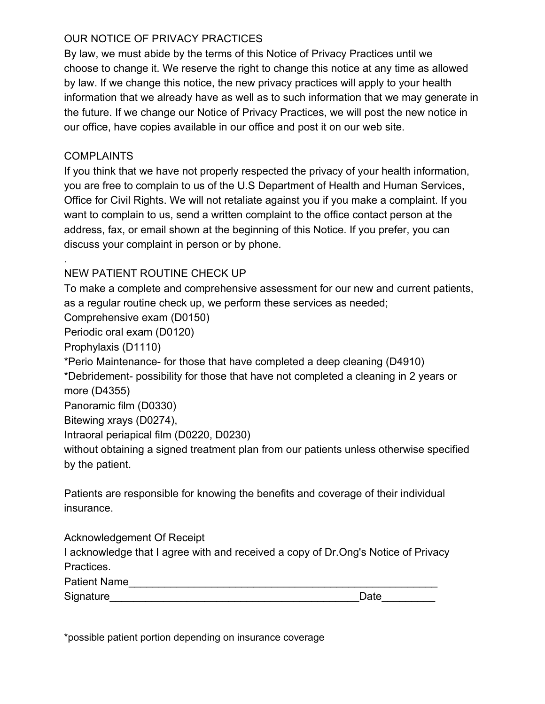# OUR NOTICE OF PRIVACY PRACTICES

By law, we must abide by the terms of this Notice of Privacy Practices until we choose to change it. We reserve the right to change this notice at any time as allowed by law. If we change this notice, the new privacy practices will apply to your health information that we already have as well as to such information that we may generate in the future. If we change our Notice of Privacy Practices, we will post the new notice in our office, have copies available in our office and post it on our web site.

# COMPLAINTS

.

If you think that we have not properly respected the privacy of your health information, you are free to complain to us of the U.S Department of Health and Human Services, Office for Civil Rights. We will not retaliate against you if you make a complaint. If you want to complain to us, send a written complaint to the office contact person at the address, fax, or email shown at the beginning of this Notice. If you prefer, you can discuss your complaint in person or by phone.

# NEW PATIENT ROUTINE CHECK UP

To make a complete and comprehensive assessment for our new and current patients, as a regular routine check up, we perform these services as needed;

Comprehensive exam (D0150)

Periodic oral exam (D0120)

Prophylaxis (D1110)

\*Perio Maintenance for those that have completed a deep cleaning (D4910)

\*Debridement- possibility for those that have not completed a cleaning in 2 years or more (D4355)

Panoramic film (D0330)

Bitewing xrays (D0274),

Intraoral periapical film (D0220, D0230)

without obtaining a signed treatment plan from our patients unless otherwise specified by the patient.

Patients are responsible for knowing the benefits and coverage of their individual insurance.

Acknowledgement Of Receipt

I acknowledge that I agree with and received a copy of Dr.Ong's Notice of Privacy Practices.

Patient Name

| Signature | Date |
|-----------|------|
|           |      |

\*possible patient portion depending on insurance coverage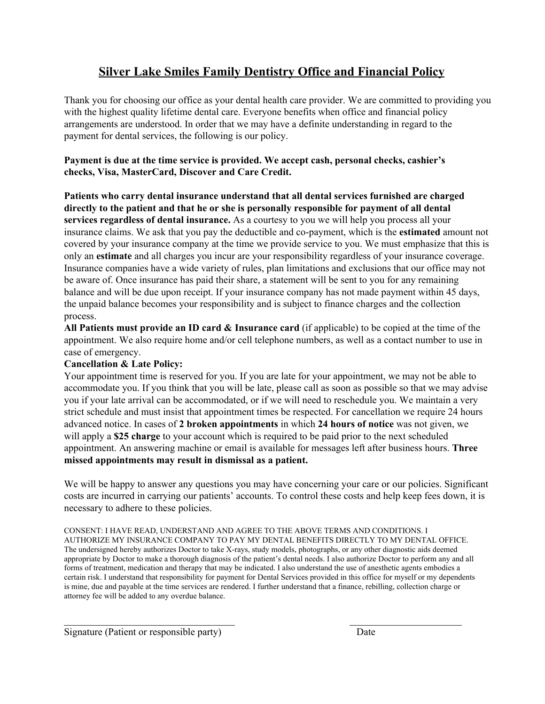# **Silver Lake Smiles Family Dentistry Office and Financial Policy**

Thank you for choosing our office as your dental health care provider. We are committed to providing you with the highest quality lifetime dental care. Everyone benefits when office and financial policy arrangements are understood. In order that we may have a definite understanding in regard to the payment for dental services, the following is our policy.

# **Payment is due at the time service is provided. We accept cash, personal checks, cashier's checks, Visa, MasterCard, Discover and Care Credit.**

**Patients who carry dental insurance understand that all dental services furnished are charged directly to the patient and that he or she is personally responsible for payment of all dental services regardless of dental insurance.** As a courtesy to you we will help you process all your insurance claims. We ask that you pay the deductible and copayment, which is the **estimated** amount not covered by your insurance company at the time we provide service to you. We must emphasize that this is only an **estimate** and all charges you incur are your responsibility regardless of your insurance coverage. Insurance companies have a wide variety of rules, plan limitations and exclusions that our office may not be aware of. Once insurance has paid their share, a statement will be sent to you for any remaining balance and will be due upon receipt. If your insurance company has not made payment within 45 days, the unpaid balance becomes your responsibility and is subject to finance charges and the collection process.

**All Patients must provide an ID card & Insurance card** (if applicable) to be copied at the time of the appointment. We also require home and/or cell telephone numbers, as well as a contact number to use in case of emergency.

# **Cancellation & Late Policy:**

Your appointment time is reserved for you. If you are late for your appointment, we may not be able to accommodate you. If you think that you will be late, please call as soon as possible so that we may advise you if your late arrival can be accommodated, or if we will need to reschedule you. We maintain a very strict schedule and must insist that appointment times be respected. For cancellation we require 24 hours advanced notice. In cases of **2 broken appointments** in which **24 hours of notice** was not given, we will apply a **\$25 charge** to your account which is required to be paid prior to the next scheduled appointment. An answering machine or email is available for messages left after business hours. **Three missed appointments may result in dismissal as a patient.**

We will be happy to answer any questions you may have concerning your care or our policies. Significant costs are incurred in carrying our patients' accounts. To control these costs and help keep fees down, it is necessary to adhere to these policies.

CONSENT: I HAVE READ, UNDERSTAND AND AGREE TO THE ABOVE TERMS AND CONDITIONS. I AUTHORIZE MY INSURANCE COMPANY TO PAY MY DENTAL BENEFITS DIRECTLY TO MY DENTAL OFFICE. The undersigned hereby authorizes Doctor to take X-rays, study models, photographs, or any other diagnostic aids deemed appropriate by Doctor to make a thorough diagnosis of the patient's dental needs. I also authorize Doctor to perform any and all forms of treatment, medication and therapy that may be indicated. I also understand the use of anesthetic agents embodies a certain risk. I understand that responsibility for payment for Dental Services provided in this office for myself or my dependents is mine, due and payable at the time services are rendered. I further understand that a finance, rebilling, collection charge or attorney fee will be added to any overdue balance.

 $\mathcal{L}_\text{max}$  , and the contract of the contract of the contract of the contract of the contract of the contract of the contract of the contract of the contract of the contract of the contract of the contract of the contr

Signature (Patient or responsible party) Date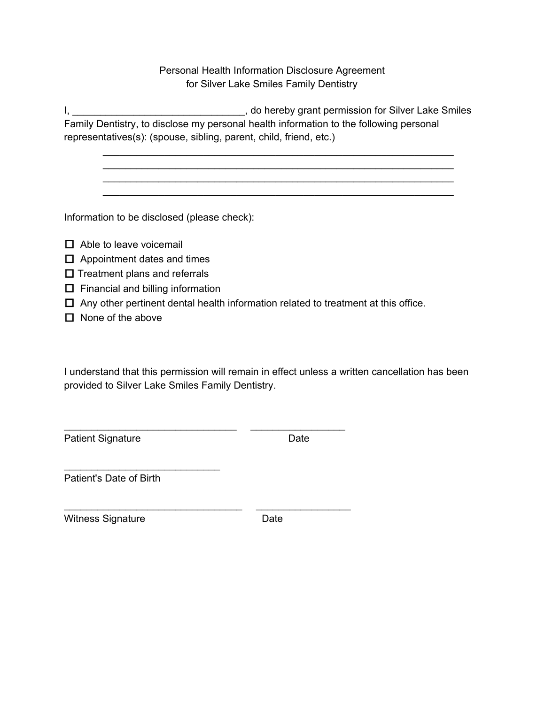Personal Health Information Disclosure Agreement for Silver Lake Smiles Family Dentistry

I, \_\_\_\_\_\_\_\_\_\_\_\_\_\_\_\_\_\_\_\_\_\_\_\_\_\_\_\_\_\_\_, do hereby grant permission for Silver Lake Smiles Family Dentistry, to disclose my personal health information to the following personal representatives(s): (spouse, sibling, parent, child, friend, etc.)

\_\_\_\_\_\_\_\_\_\_\_\_\_\_\_\_\_\_\_\_\_\_\_\_\_\_\_\_\_\_\_\_\_\_\_\_\_\_\_\_\_\_\_\_\_\_\_\_\_\_\_\_\_\_\_\_\_\_\_\_\_\_\_ \_\_\_\_\_\_\_\_\_\_\_\_\_\_\_\_\_\_\_\_\_\_\_\_\_\_\_\_\_\_\_\_\_\_\_\_\_\_\_\_\_\_\_\_\_\_\_\_\_\_\_\_\_\_\_\_\_\_\_\_\_\_\_ \_\_\_\_\_\_\_\_\_\_\_\_\_\_\_\_\_\_\_\_\_\_\_\_\_\_\_\_\_\_\_\_\_\_\_\_\_\_\_\_\_\_\_\_\_\_\_\_\_\_\_\_\_\_\_\_\_\_\_\_\_\_\_ \_\_\_\_\_\_\_\_\_\_\_\_\_\_\_\_\_\_\_\_\_\_\_\_\_\_\_\_\_\_\_\_\_\_\_\_\_\_\_\_\_\_\_\_\_\_\_\_\_\_\_\_\_\_\_\_\_\_\_\_\_\_\_

Information to be disclosed (please check):

- $\Box$  Able to leave voicemail
- $\Box$  Appointment dates and times
- $\square$  Treatment plans and referrals
- $\Box$  Financial and billing information
- $\Box$  Any other pertinent dental health information related to treatment at this office.

\_\_\_\_\_\_\_\_\_\_\_\_\_\_\_\_\_\_\_\_\_\_\_\_\_\_\_\_\_\_\_ \_\_\_\_\_\_\_\_\_\_\_\_\_\_\_\_\_

\_\_\_\_\_\_\_\_\_\_\_\_\_\_\_\_\_\_\_\_\_\_\_\_\_\_\_\_\_\_\_\_ \_\_\_\_\_\_\_\_\_\_\_\_\_\_\_\_\_

 $\Box$  None of the above

I understand that this permission will remain in effect unless a written cancellation has been provided to Silver Lake Smiles Family Dentistry.

Patient Signature Date Date

Patient's Date of Birth

\_\_\_\_\_\_\_\_\_\_\_\_\_\_\_\_\_\_\_\_\_\_\_\_\_\_\_\_

Witness Signature **Date** Date